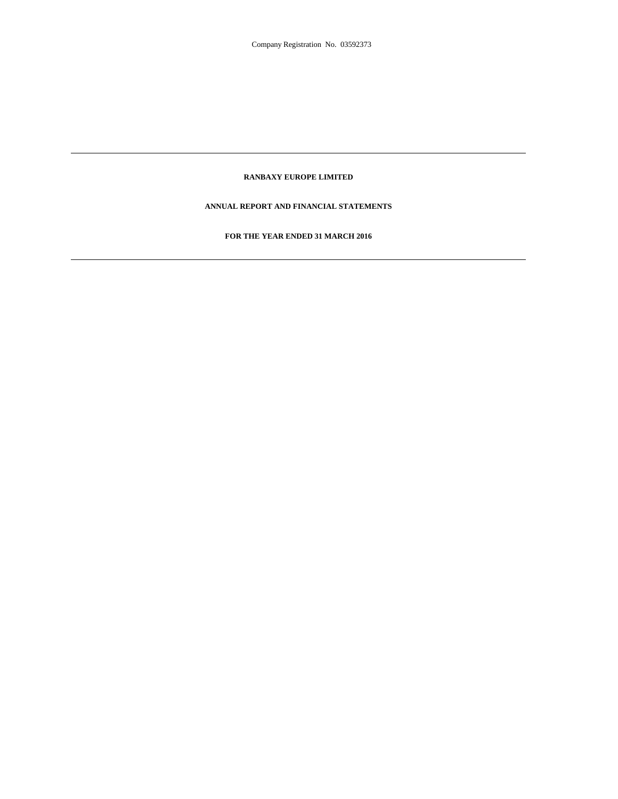# **RANBAXY EUROPE LIMITED**

# **ANNUAL REPORT AND FINANCIAL STATEMENTS**

**FOR THE YEAR ENDED 31 MARCH 2016**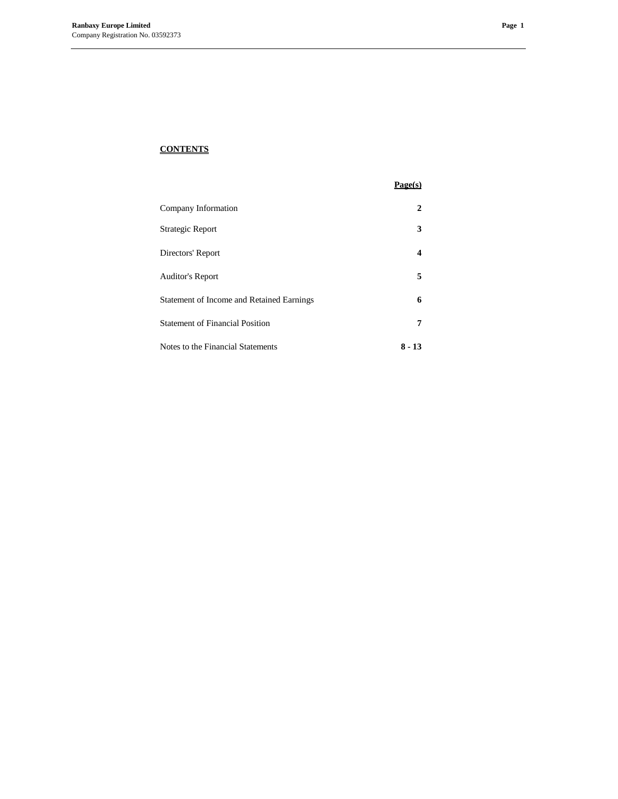# **CONTENTS**

|                                                  | Page(s)  |
|--------------------------------------------------|----------|
| Company Information                              | 2        |
| Strategic Report                                 | 3        |
| Directors' Report                                | 4        |
| <b>Auditor's Report</b>                          | 5        |
| <b>Statement of Income and Retained Earnings</b> | 6        |
| <b>Statement of Financial Position</b>           | 7        |
| Notes to the Financial Statements                | $8 - 13$ |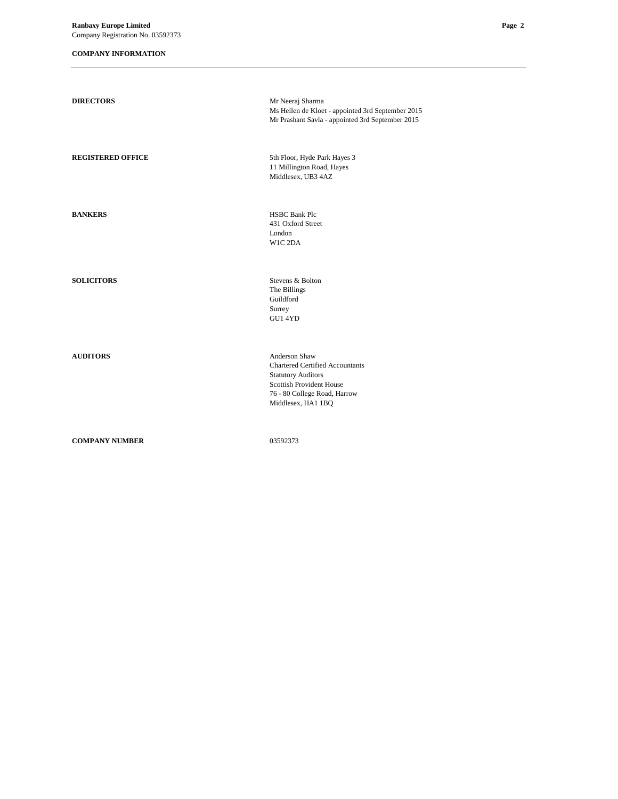# **COMPANY INFORMATION**

| Mr Neeraj Sharma<br>Ms Hellen de Kloet - appointe<br>Mr Prashant Savla - appointed |
|------------------------------------------------------------------------------------|
| 5th Floor, Hyde Park Hayes 3<br>11 Millington Road, Hayes<br>Middlesex, UB3 4AZ    |
|                                                                                    |

**COMPANY NUMBER** 03592373

Ms Hellen de Kloet - appointed 3rd September 2015 Mr Prashant Savla - appointed 3rd September 2015

**BANKERS** HSBC Bank Plc 431 Oxford Street London W1C 2DA

**SOLICITORS** Stevens & Bolton The Billings Guildford Surrey GU1 4YD

**AUDITORS** Anderson Shaw Chartered Certified Accountants Statutory Auditors Scottish Provident House 76 - 80 College Road, Harrow Middlesex, HA1 1BQ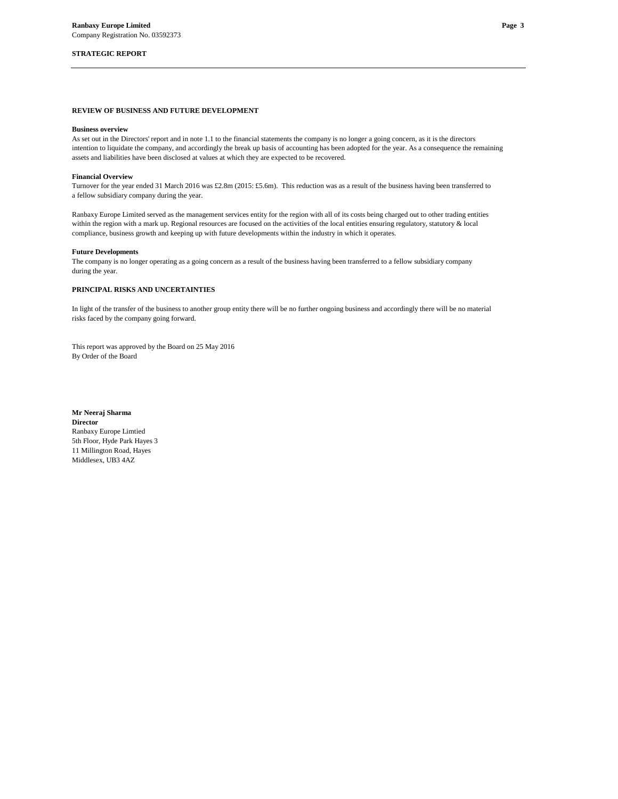# **STRATEGIC REPORT**

**REVIEW OF BUSINESS AND FUTURE DEVELOPMENT**

# **Business overview**

As set out in the Directors' report and in note 1.1 to the financial statements the company is no longer a going concern, as it is the directors intention to liquidate the company, and accordingly the break up basis of accounting has been adopted for the year. As a consequence the remaining assets and liabilities have been disclosed at values at which they are expected to be recovered.

## **Financial Overview**

Turnover for the year ended 31 March 2016 was £2.8m (2015: £5.6m). This reduction was as a result of the business having been transferred to a fellow subsidiary company during the year.

Ranbaxy Europe Limited served as the management services entity for the region with all of its costs being charged out to other trading entities within the region with a mark up. Regional resources are focused on the activities of the local entities ensuring regulatory, statutory & local compliance, business growth and keeping up with future developments within the industry in which it operates.

## **Future Developments**

The company is no longer operating as a going concern as a result of the business having been transferred to a fellow subsidiary company during the year.

## **PRINCIPAL RISKS AND UNCERTAINTIES**

In light of the transfer of the business to another group entity there will be no further ongoing business and accordingly there will be no material risks faced by the company going forward.

This report was approved by the Board on 25 May 2016 By Order of the Board

**Mr Neeraj Sharma Director** Ranbaxy Europe Limtied 5th Floor, Hyde Park Hayes 3 11 Millington Road, Hayes Middlesex, UB3 4AZ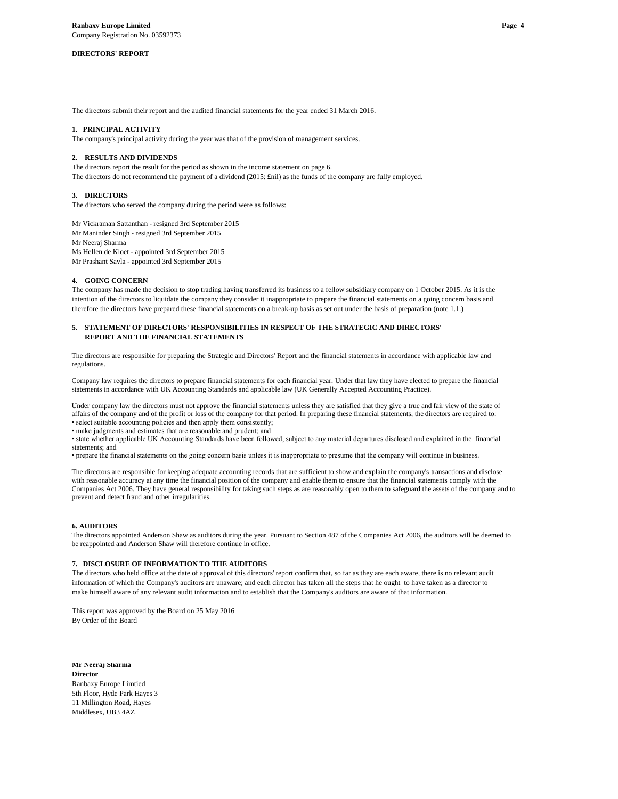## **DIRECTORS' REPORT**

The directors submit their report and the audited financial statements for the year ended 31 March 2016.

### **1. PRINCIPAL ACTIVITY**

The company's principal activity during the year was that of the provision of management services.

### **2. RESULTS AND DIVIDENDS**

The directors report the result for the period as shown in the income statement on page 6. The directors do not recommend the payment of a dividend (2015: £nil) as the funds of the company are fully employed.

## **3. DIRECTORS**

The directors who served the company during the period were as follows:

Mr Vickraman Sattanthan - resigned 3rd September 2015 Mr Maninder Singh - resigned 3rd September 2015 Mr Neeraj Sharma Ms Hellen de Kloet - appointed 3rd September 2015 Mr Prashant Savla - appointed 3rd September 2015

## **4. GOING CONCERN**

The company has made the decision to stop trading having transferred its business to a fellow subsidiary company on 1 October 2015. As it is the intention of the directors to liquidate the company they consider it inappropriate to prepare the financial statements on a going concern basis and therefore the directors have prepared these financial statements on a break-up basis as set out under the basis of preparation (note 1.1.)

## **5. STATEMENT OF DIRECTORS' RESPONSIBILITIES IN RESPECT OF THE STRATEGIC AND DIRECTORS' REPORT AND THE FINANCIAL STATEMENTS**

The directors are responsible for preparing the Strategic and Directors' Report and the financial statements in accordance with applicable law and regulations.

Company law requires the directors to prepare financial statements for each financial year. Under that law they have elected to prepare the financial statements in accordance with UK Accounting Standards and applicable law (UK Generally Accepted Accounting Practice).

Under company law the directors must not approve the financial statements unless they are satisfied that they give a true and fair view of the state of affairs of the company and of the profit or loss of the company for that period. In preparing these financial statements, the directors are required to:

• select suitable accounting policies and then apply them consistently;

• make judgments and estimates that are reasonable and prudent; and • state whether applicable UK Accounting Standards have been followed, subject to any material departures disclosed and explained in the financial

statements; and

• prepare the financial statements on the going concern basis unless it is inappropriate to presume that the company will continue in business.

The directors are responsible for keeping adequate accounting records that are sufficient to show and explain the company's transactions and disclose with reasonable accuracy at any time the financial position of the company and enable them to ensure that the financial statements comply with the Companies Act 2006. They have general responsibility for taking such steps as are reasonably open to them to safeguard the assets of the company and to prevent and detect fraud and other irregularities.

## **6. AUDITORS**

The directors appointed Anderson Shaw as auditors during the year. Pursuant to Section 487 of the Companies Act 2006, the auditors will be deemed to be reappointed and Anderson Shaw will therefore continue in office.

## **7. DISCLOSURE OF INFORMATION TO THE AUDITORS**

The directors who held office at the date of approval of this directors' report confirm that, so far as they are each aware, there is no relevant audit information of which the Company's auditors are unaware; and each director has taken all the steps that he ought to have taken as a director to make himself aware of any relevant audit information and to establish that the Company's auditors are aware of that information.

This report was approved by the Board on 25 May 2016 By Order of the Board

**Mr Neeraj Sharma Director** Ranbaxy Europe Limtied 5th Floor, Hyde Park Hayes 3 11 Millington Road, Hayes Middlesex, UB3 4AZ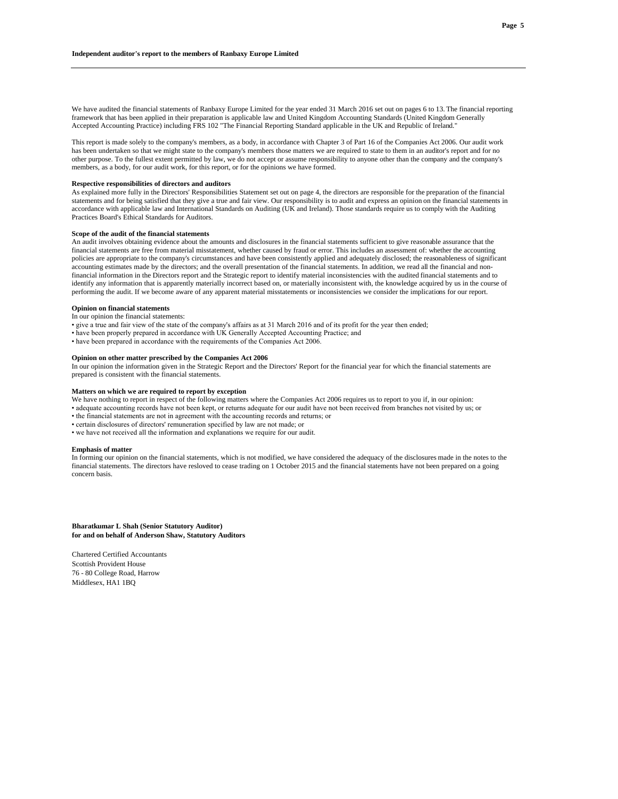We have audited the financial statements of Ranbaxy Europe Limited for the year ended 31 March 2016 set out on pages 6 to 13. The financial reporting framework that has been applied in their preparation is applicable law and United Kingdom Accounting Standards (United Kingdom Generally Accepted Accounting Practice) including FRS 102 "The Financial Reporting Standard applicable in the UK and Republic of Ireland."

This report is made solely to the company's members, as a body, in accordance with Chapter 3 of Part 16 of the Companies Act 2006. Our audit work has been undertaken so that we might state to the company's members those matters we are required to state to them in an auditor's report and for no other purpose. To the fullest extent permitted by law, we do not accept or assume responsibility to anyone other than the company and the company's members, as a body, for our audit work, for this report, or for the opinions we have formed.

## **Respective responsibilities of directors and auditors**

As explained more fully in the Directors' Responsibilities Statement set out on page 4, the directors are responsible for the preparation of the financial statements and for being satisfied that they give a true and fair view. Our responsibility is to audit and express an opinion on the financial statements in accordance with applicable law and International Standards on Auditing (UK and Ireland). Those standards require us to comply with the Auditing Practices Board's Ethical Standards for Auditors.

## **Scope of the audit of the financial statements**

An audit involves obtaining evidence about the amounts and disclosures in the financial statements sufficient to give reasonable assurance that the financial statements are free from material misstatement, whether caused by fraud or error. This includes an assessment of: whether the accounting policies are appropriate to the company's circumstances and have been consistently applied and adequately disclosed; the reasonableness of significant accounting estimates made by the directors; and the overall presentation of the financial statements. In addition, we read all the financial and nonfinancial information in the Directors report and the Strategic report to identify material inconsistencies with the audited financial statements and to identify any information that is apparently materially incorrect based on, or materially inconsistent with, the knowledge acquired by us in the course of performing the audit. If we become aware of any apparent material misstatements or inconsistencies we consider the implications for our report.

## **Opinion on financial statements**

In our opinion the financial statements:

- give a true and fair view of the state of the company's affairs as at 31 March 2016 and of its profit for the year then ended;
- have been properly prepared in accordance with UK Generally Accepted Accounting Practice; and
- have been prepared in accordance with the requirements of the Companies Act 2006.

### **Opinion on other matter prescribed by the Companies Act 2006**

In our opinion the information given in the Strategic Report and the Directors' Report for the financial year for which the financial statements are prepared is consistent with the financial statements.

## **Matters on which we are required to report by exception**

We have nothing to report in respect of the following matters where the Companies Act 2006 requires us to report to you if, in our opinion:

- adequate accounting records have not been kept, or returns adequate for our audit have not been received from branches not visited by us; or
- the financial statements are not in agreement with the accounting records and returns; or
- certain disclosures of directors' remuneration specified by law are not made; or
- we have not received all the information and explanations we require for our audit.

## **Emphasis of matter**

In forming our opinion on the financial statements, which is not modified, we have considered the adequacy of the disclosures made in the notes to the financial statements. The directors have resloved to cease trading on 1 October 2015 and the financial statements have not been prepared on a going concern basis.

**Bharatkumar L Shah (Senior Statutory Auditor) for and on behalf of Anderson Shaw, Statutory Auditors**

Chartered Certified Accountants Scottish Provident House 76 - 80 College Road, Harrow Middlesex, HA1 1BQ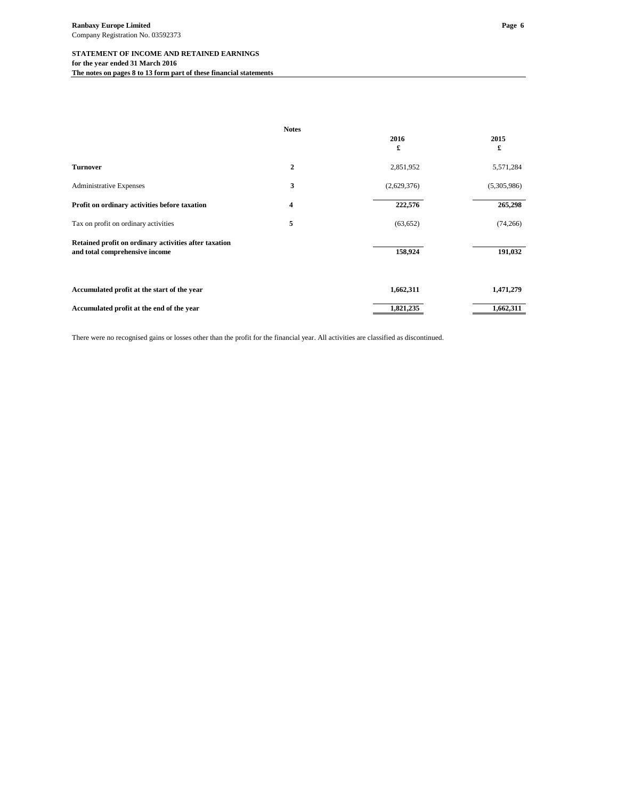# **STATEMENT OF INCOME AND RETAINED EARNINGS for the year ended 31 March 2016 The notes on pages 8 to 13 form part of these financial statements**

|                                                       | <b>Notes</b> |             |             |
|-------------------------------------------------------|--------------|-------------|-------------|
|                                                       |              | 2016        | 2015        |
|                                                       |              | £           | £           |
| <b>Turnover</b>                                       | 2            | 2,851,952   | 5,571,284   |
| Administrative Expenses                               | 3            | (2,629,376) | (5,305,986) |
| Profit on ordinary activities before taxation         | 4            | 222,576     | 265,298     |
| Tax on profit on ordinary activities                  | 5            | (63, 652)   | (74, 266)   |
| Retained profit on ordinary activities after taxation |              |             |             |
| and total comprehensive income                        |              | 158,924     | 191,032     |
|                                                       |              |             |             |
| Accumulated profit at the start of the year           |              | 1,662,311   | 1,471,279   |
| Accumulated profit at the end of the year             |              | 1,821,235   | 1,662,311   |

There were no recognised gains or losses other than the profit for the financial year. All activities are classified as discontinued.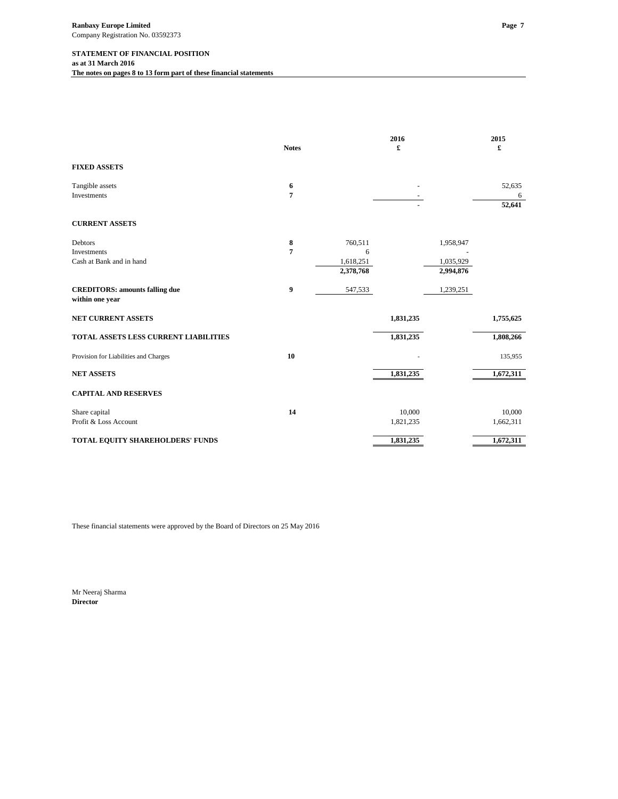# **STATEMENT OF FINANCIAL POSITION as at 31 March 2016 The notes on pages 8 to 13 form part of these financial statements**

|                                                          | <b>Notes</b> |           | 2016<br>£ |           | 2015<br>£   |
|----------------------------------------------------------|--------------|-----------|-----------|-----------|-------------|
| <b>FIXED ASSETS</b>                                      |              |           |           |           |             |
| Tangible assets<br>Investments                           | 6<br>7       |           |           |           | 52,635      |
|                                                          |              |           |           |           | 6<br>52,641 |
| <b>CURRENT ASSETS</b>                                    |              |           |           |           |             |
| Debtors                                                  | 8            | 760,511   |           | 1,958,947 |             |
| Investments                                              | 7            | 6         |           |           |             |
| Cash at Bank and in hand                                 |              | 1,618,251 |           | 1,035,929 |             |
|                                                          |              | 2,378,768 |           | 2,994,876 |             |
| <b>CREDITORS: amounts falling due</b><br>within one year | 9            | 547,533   |           | 1,239,251 |             |
| <b>NET CURRENT ASSETS</b>                                |              |           | 1,831,235 |           | 1,755,625   |
| TOTAL ASSETS LESS CURRENT LIABILITIES                    |              |           | 1,831,235 |           | 1,808,266   |
| Provision for Liabilities and Charges                    | 10           |           |           |           | 135,955     |
| <b>NET ASSETS</b>                                        |              |           | 1,831,235 |           | 1,672,311   |
| <b>CAPITAL AND RESERVES</b>                              |              |           |           |           |             |
| Share capital                                            | 14           |           | 10,000    |           | 10,000      |
| Profit & Loss Account                                    |              |           | 1,821,235 |           | 1,662,311   |
| TOTAL EQUITY SHAREHOLDERS' FUNDS                         |              |           | 1,831,235 |           | 1,672,311   |

These financial statements were approved by the Board of Directors on 25 May 2016

Mr Neeraj Sharma **Director**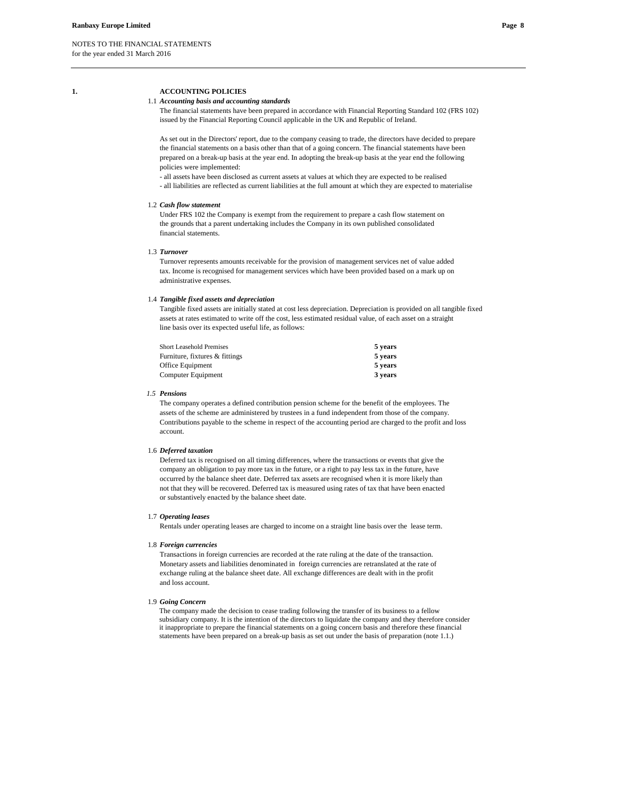# **1. ACCOUNTING POLICIES**

## 1.1 *Accounting basis and accounting standards*

The financial statements have been prepared in accordance with Financial Reporting Standard 102 (FRS 102) issued by the Financial Reporting Council applicable in the UK and Republic of Ireland.

As set out in the Directors' report, due to the company ceasing to trade, the directors have decided to prepare the financial statements on a basis other than that of a going concern. The financial statements have been prepared on a break-up basis at the year end. In adopting the break-up basis at the year end the following policies were implemented:

- all assets have been disclosed as current assets at values at which they are expected to be realised

- all liabilities are reflected as current liabilities at the full amount at which they are expected to materialise

## 1.2 *Cash flow statement*

Under FRS 102 the Company is exempt from the requirement to prepare a cash flow statement on the grounds that a parent undertaking includes the Company in its own published consolidated financial statements.

## 1.3 *Turnover*

Turnover represents amounts receivable for the provision of management services net of value added tax. Income is recognised for management services which have been provided based on a mark up on administrative expenses.

## 1.4 *Tangible fixed assets and depreciation*

Tangible fixed assets are initially stated at cost less depreciation. Depreciation is provided on all tangible fixed assets at rates estimated to write off the cost, less estimated residual value, of each asset on a straight line basis over its expected useful life, as follows:

| <b>Short Leasehold Premises</b> | 5 years |
|---------------------------------|---------|
| Furniture, fixtures & fittings  | 5 years |
| Office Equipment                | 5 years |
| Computer Equipment              | 3 years |

## *1.5 Pensions*

The company operates a defined contribution pension scheme for the benefit of the employees. The assets of the scheme are administered by trustees in a fund independent from those of the company. Contributions payable to the scheme in respect of the accounting period are charged to the profit and loss account.

## 1.6 *Deferred taxation*

Deferred tax is recognised on all timing differences, where the transactions or events that give the company an obligation to pay more tax in the future, or a right to pay less tax in the future, have occurred by the balance sheet date. Deferred tax assets are recognised when it is more likely than not that they will be recovered. Deferred tax is measured using rates of tax that have been enacted or substantively enacted by the balance sheet date.

## 1.7 *Operating leases*

Rentals under operating leases are charged to income on a straight line basis over the lease term.

#### 1.8 *Foreign currencies*

Transactions in foreign currencies are recorded at the rate ruling at the date of the transaction. Monetary assets and liabilities denominated in foreign currencies are retranslated at the rate of exchange ruling at the balance sheet date. All exchange differences are dealt with in the profit and loss account.

#### 1.9 *Going Concern*

The company made the decision to cease trading following the transfer of its business to a fellow subsidiary company. It is the intention of the directors to liquidate the company and they therefore consider it inappropriate to prepare the financial statements on a going concern basis and therefore these financial statements have been prepared on a break-up basis as set out under the basis of preparation (note 1.1.)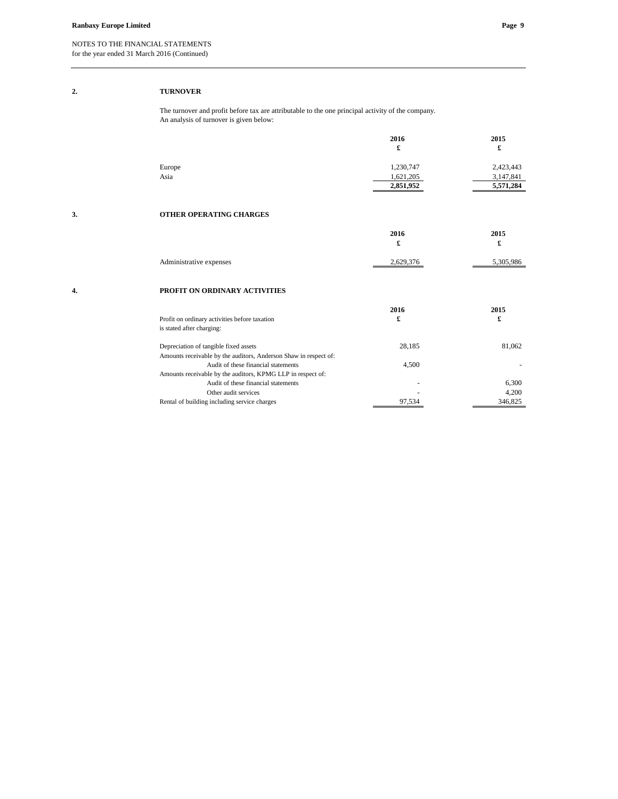NOTES TO THE FINANCIAL STATEMENTS for the year ended 31 March 2016 (Continued)

| <b>TURNOVER</b> |
|-----------------|

The turnover and profit before tax are attributable to the one principal activity of the company. An analysis of turnover is given below:

|    |                                                                            | 2016<br>£ | 2015<br>£ |
|----|----------------------------------------------------------------------------|-----------|-----------|
|    | Europe                                                                     | 1,230,747 | 2,423,443 |
|    | Asia                                                                       | 1,621,205 | 3,147,841 |
|    |                                                                            | 2,851,952 | 5,571,284 |
| 3. | <b>OTHER OPERATING CHARGES</b>                                             |           |           |
|    |                                                                            | 2016<br>£ | 2015<br>£ |
|    | Administrative expenses                                                    | 2,629,376 | 5,305,986 |
| 4. | PROFIT ON ORDINARY ACTIVITIES                                              |           |           |
|    |                                                                            | 2016      | 2015      |
|    | Profit on ordinary activities before taxation<br>is stated after charging: | £         | £         |
|    | Depreciation of tangible fixed assets                                      | 28,185    | 81,062    |
|    | Amounts receivable by the auditors, Anderson Shaw in respect of:           |           |           |
|    | Audit of these financial statements                                        | 4,500     |           |
|    | Amounts receivable by the auditors, KPMG LLP in respect of:                |           |           |
|    | Audit of these financial statements                                        |           | 6,300     |
|    | Other audit services                                                       |           | 4,200     |
|    | Rental of building including service charges                               | 97,534    | 346,825   |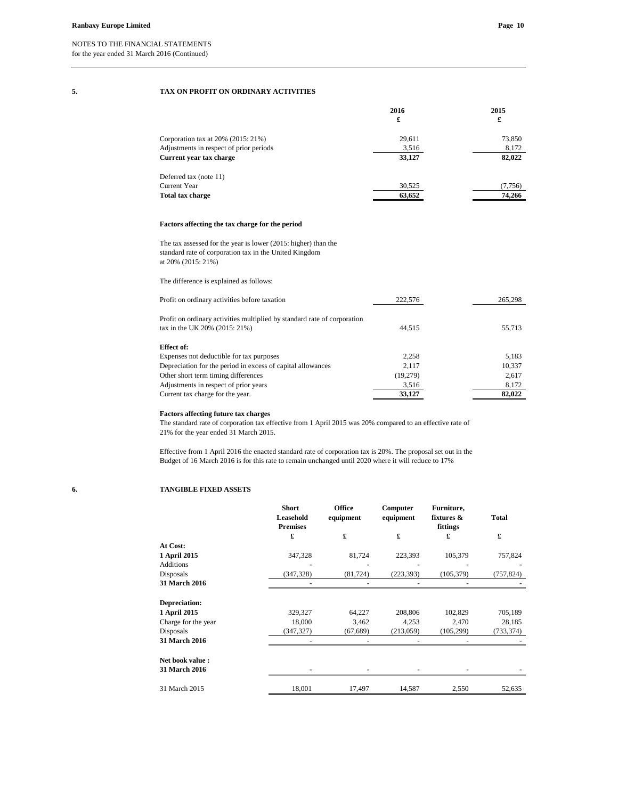# **5. TAX ON PROFIT ON ORDINARY ACTIVITIES**

|                                         | 2016   | 2015    |
|-----------------------------------------|--------|---------|
|                                         | £      | £       |
| Corporation tax at 20% (2015: 21%)      | 29.611 | 73,850  |
| Adjustments in respect of prior periods | 3,516  | 8,172   |
| Current year tax charge                 | 33,127 | 82,022  |
| Deferred tax (note 11)                  |        |         |
| Current Year                            | 30,525 | (7,756) |
| Total tax charge                        | 63,652 | 74.266  |
|                                         |        |         |

# **Factors affecting the tax charge for the period**

The tax assessed for the year is lower (2015: higher) than the standard rate of corporation tax in the United Kingdom at 20% (2015: 21%)

The difference is explained as follows:

| Profit on ordinary activities before taxation                                                             | 222,576  | 265,298 |
|-----------------------------------------------------------------------------------------------------------|----------|---------|
| Profit on ordinary activities multiplied by standard rate of corporation<br>tax in the UK 20% (2015: 21%) | 44.515   | 55,713  |
| <b>Effect of:</b>                                                                                         |          |         |
| Expenses not deductible for tax purposes                                                                  | 2.258    | 5,183   |
| Depreciation for the period in excess of capital allowances                                               | 2.117    | 10,337  |
| Other short term timing differences                                                                       | (19,279) | 2,617   |
| Adjustments in respect of prior years                                                                     | 3,516    | 8,172   |
| Current tax charge for the year.                                                                          | 33,127   | 82,022  |

# **Factors affecting future tax charges**

The standard rate of corporation tax effective from 1 April 2015 was 20% compared to an effective rate of 21% for the year ended 31 March 2015.

Effective from 1 April 2016 the enacted standard rate of corporation tax is 20%. The proposal set out in the Budget of 16 March 2016 is for this rate to remain unchanged until 2020 where it will reduce to 17%

# **6. TANGIBLE FIXED ASSETS**

|                     | <b>Short</b><br>Leasehold<br><b>Premises</b> | <b>Office</b><br>equipment | Computer<br>equipment | Furniture,<br>fixtures &<br>fittings | <b>Total</b> |
|---------------------|----------------------------------------------|----------------------------|-----------------------|--------------------------------------|--------------|
|                     | £                                            | £                          | £                     | £                                    | £            |
| At Cost:            |                                              |                            |                       |                                      |              |
| 1 April 2015        | 347,328                                      | 81,724                     | 223,393               | 105,379                              | 757,824      |
| <b>Additions</b>    |                                              |                            |                       |                                      |              |
| Disposals           | (347, 328)                                   | (81, 724)                  | (223, 393)            | (105, 379)                           | (757, 824)   |
| 31 March 2016       |                                              |                            |                       |                                      |              |
| Depreciation:       |                                              |                            |                       |                                      |              |
| 1 April 2015        | 329,327                                      | 64,227                     | 208,806               | 102,829                              | 705,189      |
| Charge for the year | 18,000                                       | 3,462                      | 4,253                 | 2,470                                | 28,185       |
| Disposals           | (347, 327)                                   | (67, 689)                  | (213,059)             | (105, 299)                           | (733, 374)   |
| 31 March 2016       |                                              |                            |                       |                                      |              |
| Net book value:     |                                              |                            |                       |                                      |              |
| 31 March 2016       |                                              |                            |                       |                                      |              |
| 31 March 2015       | 18,001                                       | 17,497                     | 14,587                | 2,550                                | 52,635       |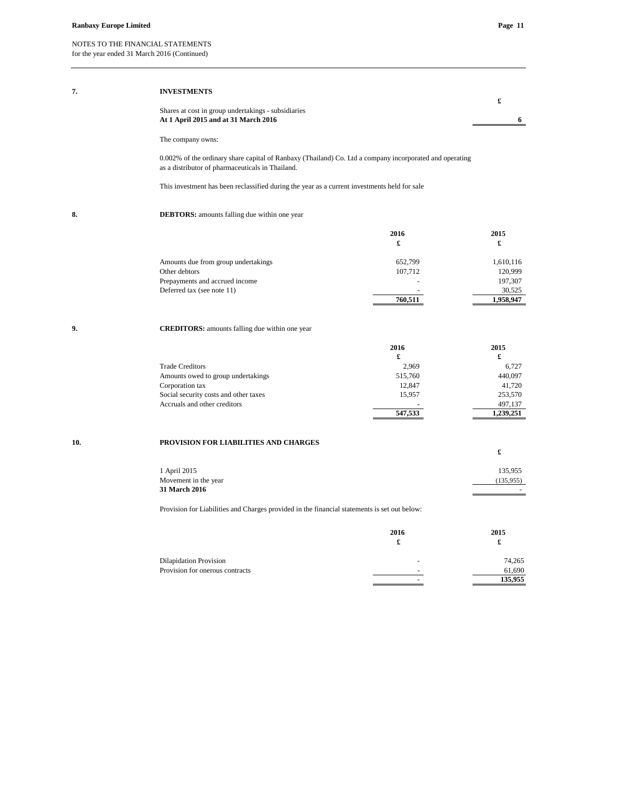NOTES TO THE FINANCIAL STATEMENTS for the year ended 31 March 2016 (Continued)

| 7.  | <b>INVESTMENTS</b>                                                                                                                                          |           | £                   |
|-----|-------------------------------------------------------------------------------------------------------------------------------------------------------------|-----------|---------------------|
|     | Shares at cost in group undertakings - subsidiaries<br>At 1 April 2015 and at 31 March 2016                                                                 |           | 6                   |
|     | The company owns:                                                                                                                                           |           |                     |
|     | 0.002% of the ordinary share capital of Ranbaxy (Thailand) Co. Ltd a company incorporated and operating<br>as a distributor of pharmaceuticals in Thailand. |           |                     |
|     | This investment has been reclassified during the year as a current investments held for sale                                                                |           |                     |
| 8.  | <b>DEBTORS:</b> amounts falling due within one year                                                                                                         |           |                     |
|     |                                                                                                                                                             | 2016<br>£ | 2015<br>£           |
|     | Amounts due from group undertakings                                                                                                                         | 652,799   | 1,610,116           |
|     | Other debtors                                                                                                                                               | 107,712   | 120,999             |
|     | Prepayments and accrued income                                                                                                                              |           | 197,307             |
|     | Deferred tax (see note 11)                                                                                                                                  | 760,511   | 30,525<br>1,958,947 |
|     |                                                                                                                                                             |           |                     |
| 9.  | <b>CREDITORS:</b> amounts falling due within one year                                                                                                       |           |                     |
|     |                                                                                                                                                             | 2016<br>£ | 2015<br>£           |
|     | <b>Trade Creditors</b>                                                                                                                                      | 2,969     | 6,727               |
|     | Amounts owed to group undertakings                                                                                                                          | 515,760   | 440,097             |
|     | Corporation tax                                                                                                                                             | 12,847    | 41,720              |
|     | Social security costs and other taxes                                                                                                                       | 15,957    | 253,570             |
|     | Accruals and other creditors                                                                                                                                |           | 497,137             |
|     |                                                                                                                                                             | 547,533   | 1,239,251           |
| 10. | PROVISION FOR LIABILITIES AND CHARGES                                                                                                                       |           |                     |
|     |                                                                                                                                                             |           | £                   |
|     | 1 April 2015                                                                                                                                                |           | 135,955             |
|     | Movement in the year                                                                                                                                        |           | (135, 955)          |
|     | 31 March 2016                                                                                                                                               |           |                     |
|     | Provision for Liabilities and Charges provided in the financial statements is set out below:                                                                |           |                     |
|     |                                                                                                                                                             | 2016      | 2015                |
|     |                                                                                                                                                             | £         | £                   |
|     | <b>Dilapidation Provision</b>                                                                                                                               |           | 74,265              |
|     | Provision for onerous contracts                                                                                                                             |           | 61,690              |
|     |                                                                                                                                                             |           | 135,955             |
|     |                                                                                                                                                             |           |                     |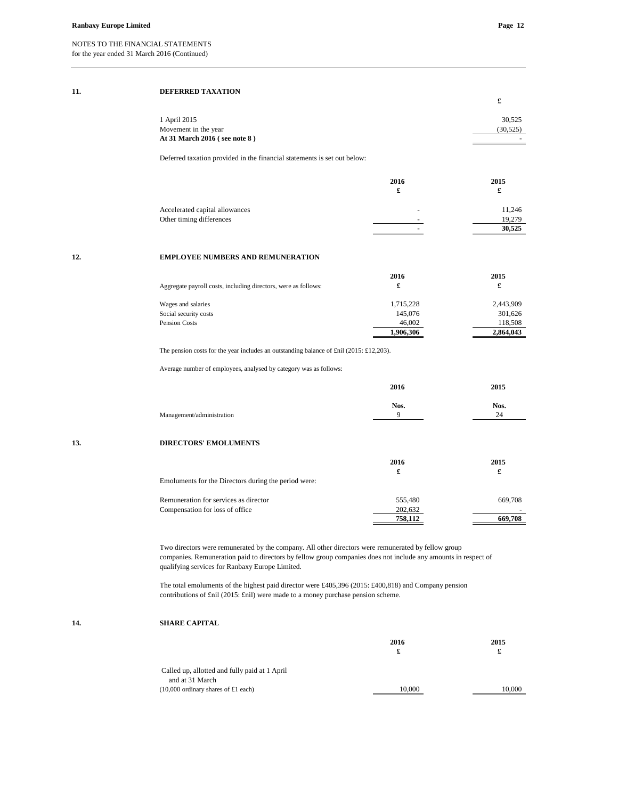# **Ranbaxy Europe Limited Page 12**

NOTES TO THE FINANCIAL STATEMENTS for the year ended 31 March 2016 (Continued)

| 11. | <b>DEFERRED TAXATION</b>                                                                                                                                                                                                                                                 |                    |                    |
|-----|--------------------------------------------------------------------------------------------------------------------------------------------------------------------------------------------------------------------------------------------------------------------------|--------------------|--------------------|
|     |                                                                                                                                                                                                                                                                          |                    | £                  |
|     | 1 April 2015<br>Movement in the year<br>At 31 March 2016 (see note 8)                                                                                                                                                                                                    |                    | 30,525<br>(30,525) |
|     | Deferred taxation provided in the financial statements is set out below:                                                                                                                                                                                                 |                    |                    |
|     |                                                                                                                                                                                                                                                                          |                    |                    |
|     |                                                                                                                                                                                                                                                                          | 2016<br>£          | 2015<br>£          |
|     | Accelerated capital allowances                                                                                                                                                                                                                                           |                    | 11,246             |
|     | Other timing differences                                                                                                                                                                                                                                                 |                    | 19,279<br>30,525   |
|     |                                                                                                                                                                                                                                                                          |                    |                    |
| 12. | <b>EMPLOYEE NUMBERS AND REMUNERATION</b>                                                                                                                                                                                                                                 |                    |                    |
|     |                                                                                                                                                                                                                                                                          | 2016               | 2015               |
|     | Aggregate payroll costs, including directors, were as follows:                                                                                                                                                                                                           | £                  | £                  |
|     | Wages and salaries                                                                                                                                                                                                                                                       | 1,715,228          | 2,443,909          |
|     | Social security costs<br>Pension Costs                                                                                                                                                                                                                                   | 145,076<br>46,002  | 301,626<br>118,508 |
|     |                                                                                                                                                                                                                                                                          | 1,906,306          | 2,864,043          |
|     | The pension costs for the year includes an outstanding balance of $\text{fail}$ (2015: £12,203).                                                                                                                                                                         |                    |                    |
|     | Average number of employees, analysed by category was as follows:                                                                                                                                                                                                        |                    |                    |
|     |                                                                                                                                                                                                                                                                          | 2016               | 2015               |
|     |                                                                                                                                                                                                                                                                          | Nos.               | Nos.               |
|     | Management/administration                                                                                                                                                                                                                                                | 9                  | 24                 |
| 13. | <b>DIRECTORS' EMOLUMENTS</b>                                                                                                                                                                                                                                             |                    |                    |
|     |                                                                                                                                                                                                                                                                          | 2016               | 2015               |
|     |                                                                                                                                                                                                                                                                          | £                  | £                  |
|     | Emoluments for the Directors during the period were:                                                                                                                                                                                                                     |                    |                    |
|     | Remuneration for services as director                                                                                                                                                                                                                                    | 555,480            | 669,708            |
|     | Compensation for loss of office                                                                                                                                                                                                                                          | 202,632<br>758,112 | 669,708            |
|     |                                                                                                                                                                                                                                                                          |                    |                    |
|     | Two directors were remunerated by the company. All other directors were remunerated by fellow group<br>companies. Remuneration paid to directors by fellow group companies does not include any amounts in respect of<br>qualifying services for Ranbaxy Europe Limited. |                    |                    |
|     | The total emoluments of the highest paid director were £405,396 (2015: £400,818) and Company pension<br>contributions of £nil (2015: £nil) were made to a money purchase pension scheme.                                                                                 |                    |                    |
| 14. | <b>SHARE CAPITAL</b>                                                                                                                                                                                                                                                     |                    |                    |

| Called up, allotted and fully paid at 1 April |        |        |
|-----------------------------------------------|--------|--------|
| and at 31 March                               |        |        |
| $(10,000)$ ordinary shares of £1 each)        | 10.000 | 10.000 |
|                                               |        |        |

**2016 2015 £ £**